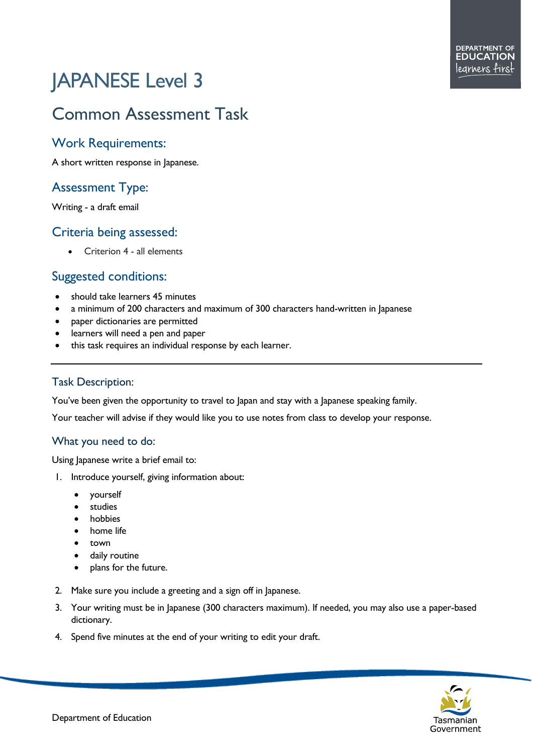# JAPANESE Level 3

## Common Assessment Task

#### Work Requirements:

A short written response in Japanese.

### Assessment Type:

Writing - a draft email

#### Criteria being assessed:

• Criterion 4 - all elements

#### Suggested conditions:

- should take learners 45 minutes
- a minimum of 200 characters and maximum of 300 characters hand-written in Japanese
- paper dictionaries are permitted
- learners will need a pen and paper
- this task requires an individual response by each learner.

#### Task Description:

You've been given the opportunity to travel to Japan and stay with a Japanese speaking family.

Your teacher will advise if they would like you to use notes from class to develop your response.

#### What you need to do:

Using Japanese write a brief email to:

- 1. Introduce yourself, giving information about:
	- yourself
	- studies
	- **hobbies**
	- home life
	- town
	- daily routine
	- plans for the future.
- 2. Make sure you include a greeting and a sign off in Japanese.
- 3. Your writing must be in Japanese (300 characters maximum). If needed, you may also use a paper-based dictionary.
- 4. Spend five minutes at the end of your writing to edit your draft.